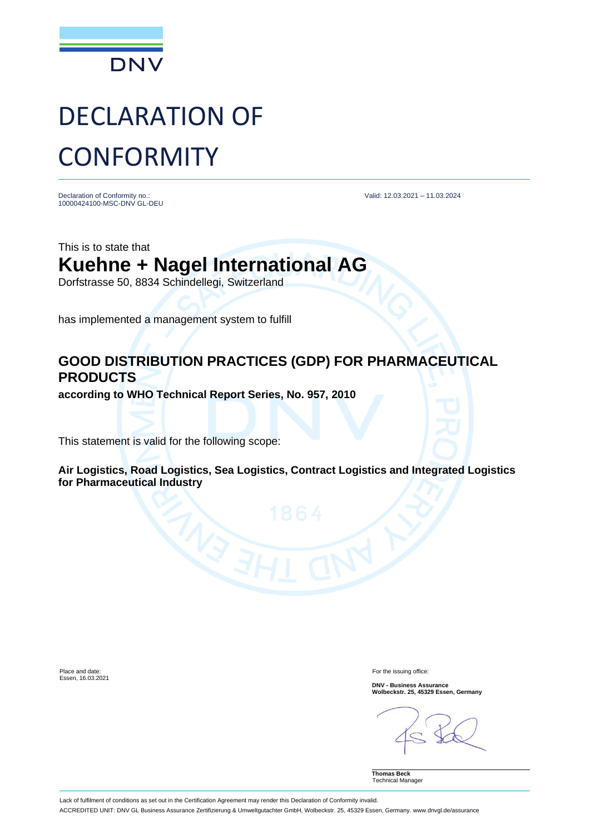

## DECLARATION OF **CONFORMITY**

Declaration of Conformity no.: 10000424100-MSC-DNV GL-DEU Valid: 12.03.2021 – 11.03.2024

This is to state that **Kuehne + Nagel International AG** Dorfstrasse 50, 8834 Schindellegi, Switzerland

has implemented a management system to fulfill

## **GOOD DISTRIBUTION PRACTICES (GDP) FOR PHARMACEUTICAL PRODUCTS**

**according to WHO Technical Report Series, No. 957, 2010**

This statement is valid for the following scope:

**Air Logistics, Road Logistics, Sea Logistics, Contract Logistics and Integrated Logistics for Pharmaceutical Industry**

Place and date: Essen, 16.03.2021 For the issuing office:

**DNV - Business Assurance Wolbeckstr. 25, 45329 Essen, Germany**

**Thomas Beck** Technical Manager

Lack of fulfilment of conditions as set out in the Certification Agreement may render this Declaration of Conformity invalid. ACCREDITED UNIT: DNV GL Business Assurance Zertifizierung & Umweltgutachter GmbH, Wolbeckstr. 25, 45329 Essen, Germany. www.dnvgl.de/assurance